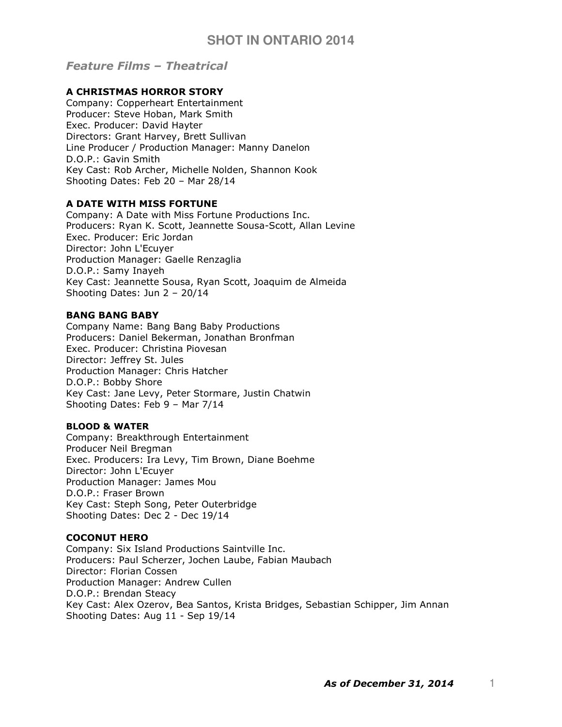Feature Films – Theatrical

# A CHRISTMAS HORROR STORY

Company: Copperheart Entertainment Producer: Steve Hoban, Mark Smith Exec. Producer: David Hayter Directors: Grant Harvey, Brett Sullivan Line Producer / Production Manager: Manny Danelon D.O.P.: Gavin Smith Key Cast: Rob Archer, Michelle Nolden, Shannon Kook Shooting Dates: Feb 20 – Mar 28/14

# A DATE WITH MISS FORTUNE

Company: A Date with Miss Fortune Productions Inc. Producers: Ryan K. Scott, Jeannette Sousa-Scott, Allan Levine Exec. Producer: Eric Jordan Director: John L'Ecuyer Production Manager: Gaelle Renzaglia D.O.P.: Samy Inayeh Key Cast: Jeannette Sousa, Ryan Scott, Joaquim de Almeida Shooting Dates: Jun 2 – 20/14

### BANG BANG BABY

Company Name: Bang Bang Baby Productions Producers: Daniel Bekerman, Jonathan Bronfman Exec. Producer: Christina Piovesan Director: Jeffrey St. Jules Production Manager: Chris Hatcher D.O.P.: Bobby Shore Key Cast: Jane Levy, Peter Stormare, Justin Chatwin Shooting Dates: Feb 9 – Mar 7/14

### BLOOD & WATER

Company: Breakthrough Entertainment Producer Neil Bregman Exec. Producers: Ira Levy, Tim Brown, Diane Boehme Director: John L'Ecuyer Production Manager: James Mou D.O.P.: Fraser Brown Key Cast: Steph Song, Peter Outerbridge Shooting Dates: Dec 2 - Dec 19/14

### COCONUT HERO

Company: Six Island Productions Saintville Inc. Producers: Paul Scherzer, Jochen Laube, Fabian Maubach Director: Florian Cossen Production Manager: Andrew Cullen D.O.P.: Brendan Steacy Key Cast: Alex Ozerov, Bea Santos, Krista Bridges, Sebastian Schipper, Jim Annan Shooting Dates: Aug 11 - Sep 19/14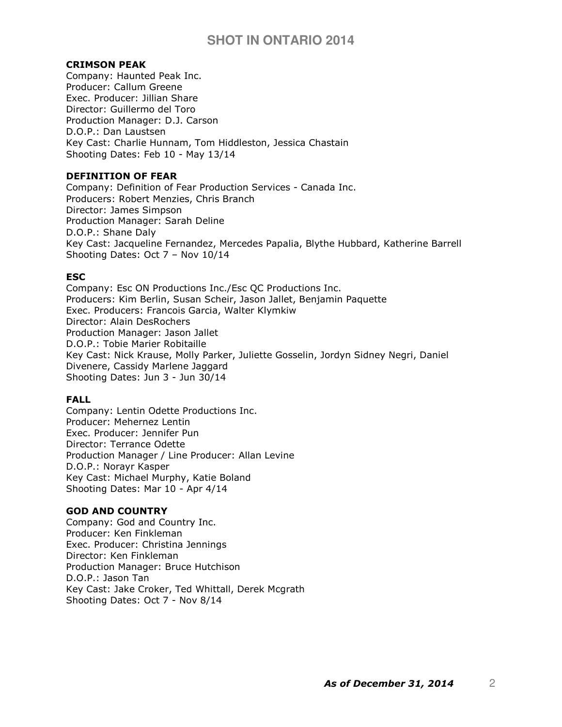### CRIMSON PEAK

Company: Haunted Peak Inc. Producer: Callum Greene Exec. Producer: Jillian Share Director: Guillermo del Toro Production Manager: D.J. Carson D.O.P.: Dan Laustsen Key Cast: Charlie Hunnam, Tom Hiddleston, Jessica Chastain Shooting Dates: Feb 10 - May 13/14

## DEFINITION OF FEAR

Company: Definition of Fear Production Services - Canada Inc. Producers: Robert Menzies, Chris Branch Director: James Simpson Production Manager: Sarah Deline D.O.P.: Shane Daly Key Cast: Jacqueline Fernandez, Mercedes Papalia, Blythe Hubbard, Katherine Barrell Shooting Dates: Oct 7 – Nov 10/14

#### **ESC**

Company: Esc ON Productions Inc./Esc QC Productions Inc. Producers: Kim Berlin, Susan Scheir, Jason Jallet, Benjamin Paquette Exec. Producers: Francois Garcia, Walter Klymkiw Director: Alain DesRochers Production Manager: Jason Jallet D.O.P.: Tobie Marier Robitaille Key Cast: Nick Krause, Molly Parker, Juliette Gosselin, Jordyn Sidney Negri, Daniel Divenere, Cassidy Marlene Jaggard Shooting Dates: Jun 3 - Jun 30/14

#### FALL

Company: Lentin Odette Productions Inc. Producer: Mehernez Lentin Exec. Producer: Jennifer Pun Director: Terrance Odette Production Manager / Line Producer: Allan Levine D.O.P.: Norayr Kasper Key Cast: Michael Murphy, Katie Boland Shooting Dates: Mar 10 - Apr 4/14

#### GOD AND COUNTRY

Company: God and Country Inc. Producer: Ken Finkleman Exec. Producer: Christina Jennings Director: Ken Finkleman Production Manager: Bruce Hutchison D.O.P.: Jason Tan Key Cast: Jake Croker, Ted Whittall, Derek Mcgrath Shooting Dates: Oct 7 - Nov 8/14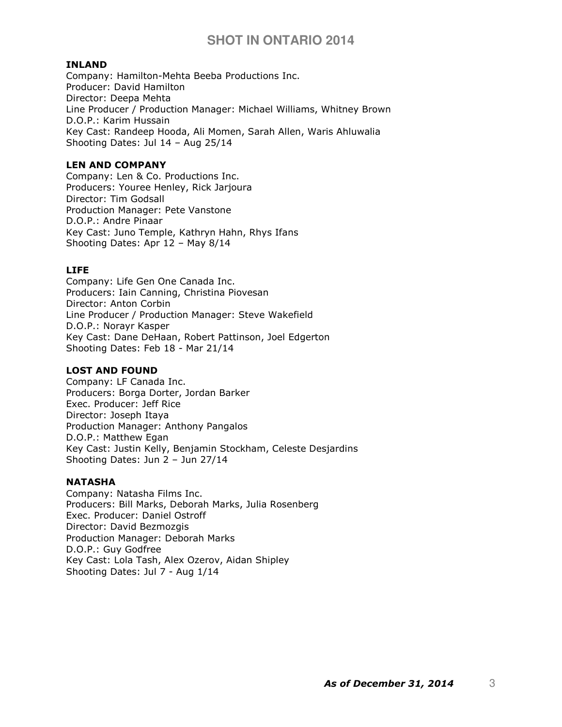#### INLAND

Company: Hamilton-Mehta Beeba Productions Inc. Producer: David Hamilton Director: Deepa Mehta Line Producer / Production Manager: Michael Williams, Whitney Brown D.O.P.: Karim Hussain Key Cast: Randeep Hooda, Ali Momen, Sarah Allen, Waris Ahluwalia Shooting Dates: Jul 14 – Aug 25/14

#### LEN AND COMPANY

Company: Len & Co. Productions Inc. Producers: Youree Henley, Rick Jarjoura Director: Tim Godsall Production Manager: Pete Vanstone D.O.P.: Andre Pinaar Key Cast: Juno Temple, Kathryn Hahn, Rhys Ifans Shooting Dates: Apr 12 – May 8/14

# LIFE

Company: Life Gen One Canada Inc. Producers: Iain Canning, Christina Piovesan Director: Anton Corbin Line Producer / Production Manager: Steve Wakefield D.O.P.: Norayr Kasper Key Cast: Dane DeHaan, Robert Pattinson, Joel Edgerton Shooting Dates: Feb 18 - Mar 21/14

### LOST AND FOUND

Company: LF Canada Inc. Producers: Borga Dorter, Jordan Barker Exec. Producer: Jeff Rice Director: Joseph Itaya Production Manager: Anthony Pangalos D.O.P.: Matthew Egan Key Cast: Justin Kelly, Benjamin Stockham, Celeste Desjardins Shooting Dates: Jun 2 – Jun 27/14

### **NATASHA**

Company: Natasha Films Inc. Producers: Bill Marks, Deborah Marks, Julia Rosenberg Exec. Producer: Daniel Ostroff Director: David Bezmozgis Production Manager: Deborah Marks D.O.P.: Guy Godfree Key Cast: Lola Tash, Alex Ozerov, Aidan Shipley Shooting Dates: Jul 7 - Aug 1/14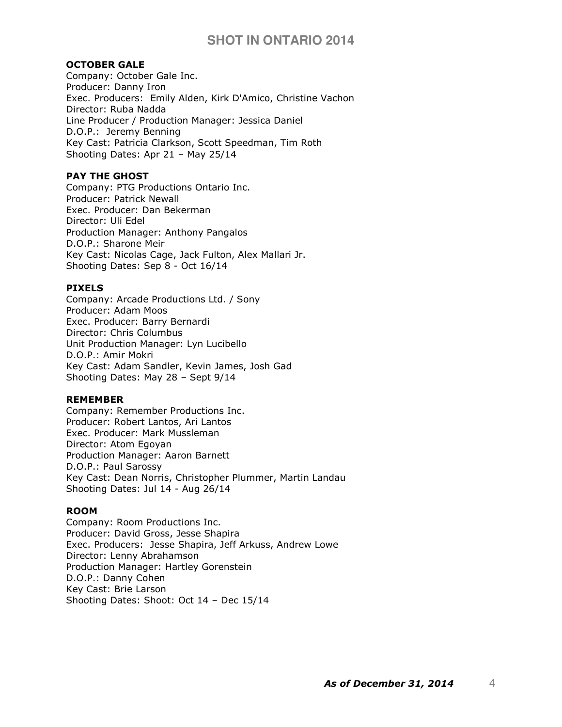#### OCTOBER GALE

Company: October Gale Inc. Producer: Danny Iron Exec. Producers: Emily Alden, Kirk D'Amico, Christine Vachon Director: Ruba Nadda Line Producer / Production Manager: Jessica Daniel D.O.P.: Jeremy Benning Key Cast: Patricia Clarkson, Scott Speedman, Tim Roth Shooting Dates: Apr 21 – May 25/14

# PAY THE GHOST

Company: PTG Productions Ontario Inc. Producer: Patrick Newall Exec. Producer: Dan Bekerman Director: Uli Edel Production Manager: Anthony Pangalos D.O.P.: Sharone Meir Key Cast: Nicolas Cage, Jack Fulton, Alex Mallari Jr. Shooting Dates: Sep 8 - Oct 16/14

### PIXELS

Company: Arcade Productions Ltd. / Sony Producer: Adam Moos Exec. Producer: Barry Bernardi Director: Chris Columbus Unit Production Manager: Lyn Lucibello D.O.P.: Amir Mokri Key Cast: Adam Sandler, Kevin James, Josh Gad Shooting Dates: May 28 – Sept 9/14

#### REMEMBER

Company: Remember Productions Inc. Producer: Robert Lantos, Ari Lantos Exec. Producer: Mark Mussleman Director: Atom Egoyan Production Manager: Aaron Barnett D.O.P.: Paul Sarossy Key Cast: Dean Norris, Christopher Plummer, Martin Landau Shooting Dates: Jul 14 - Aug 26/14

#### ROOM

Company: Room Productions Inc. Producer: David Gross, Jesse Shapira Exec. Producers: Jesse Shapira, Jeff Arkuss, Andrew Lowe Director: Lenny Abrahamson Production Manager: Hartley Gorenstein D.O.P.: Danny Cohen Key Cast: Brie Larson Shooting Dates: Shoot: Oct 14 – Dec 15/14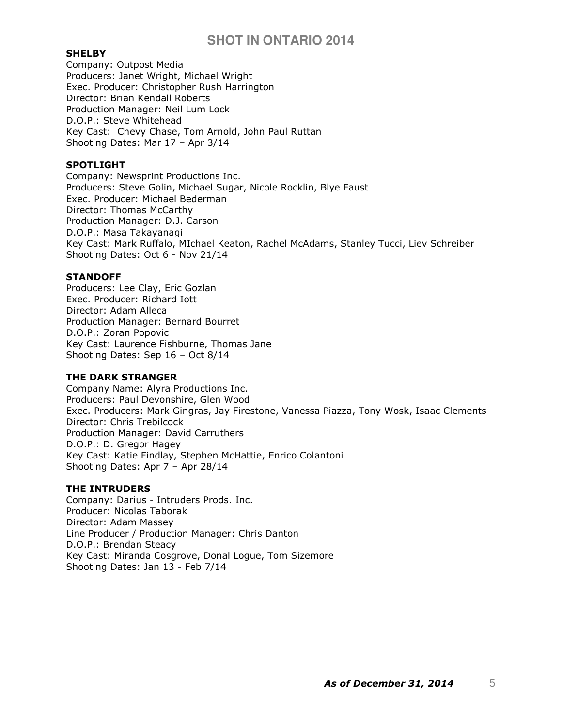#### **SHELBY**

Company: Outpost Media Producers: Janet Wright, Michael Wright Exec. Producer: Christopher Rush Harrington Director: Brian Kendall Roberts Production Manager: Neil Lum Lock D.O.P.: Steve Whitehead Key Cast: Chevy Chase, Tom Arnold, John Paul Ruttan Shooting Dates: Mar 17 – Apr 3/14

#### SPOTLIGHT

Company: Newsprint Productions Inc. Producers: Steve Golin, Michael Sugar, Nicole Rocklin, Blye Faust Exec. Producer: Michael Bederman Director: Thomas McCarthy Production Manager: D.J. Carson D.O.P.: Masa Takayanagi Key Cast: Mark Ruffalo, MIchael Keaton, Rachel McAdams, Stanley Tucci, Liev Schreiber Shooting Dates: Oct 6 - Nov 21/14

#### **STANDOFF**

Producers: Lee Clay, Eric Gozlan Exec. Producer: Richard Iott Director: Adam Alleca Production Manager: Bernard Bourret D.O.P.: Zoran Popovic Key Cast: Laurence Fishburne, Thomas Jane Shooting Dates: Sep 16 – Oct 8/14

#### THE DARK STRANGER

Company Name: Alyra Productions Inc. Producers: Paul Devonshire, Glen Wood Exec. Producers: Mark Gingras, Jay Firestone, Vanessa Piazza, Tony Wosk, Isaac Clements Director: Chris Trebilcock Production Manager: David Carruthers D.O.P.: D. Gregor Hagey Key Cast: Katie Findlay, Stephen McHattie, Enrico Colantoni Shooting Dates: Apr 7 – Apr 28/14

### THE INTRUDERS

Company: Darius - Intruders Prods. Inc. Producer: Nicolas Taborak Director: Adam Massey Line Producer / Production Manager: Chris Danton D.O.P.: Brendan Steacy Key Cast: Miranda Cosgrove, Donal Logue, Tom Sizemore Shooting Dates: Jan 13 - Feb 7/14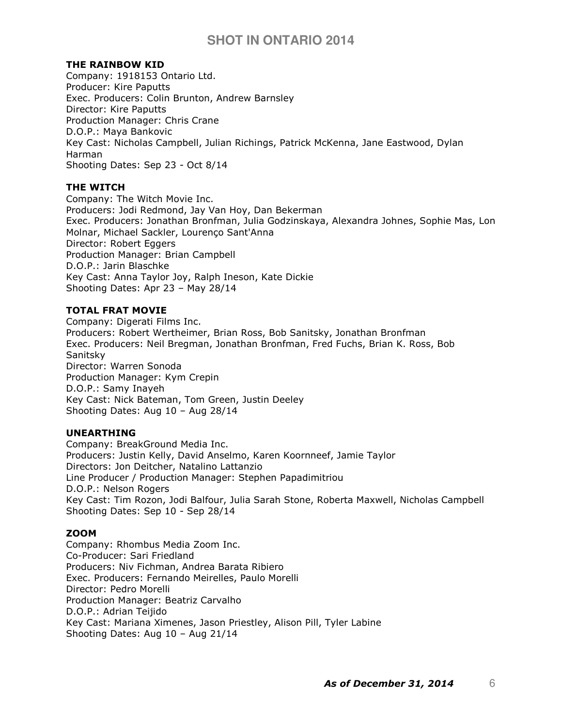# THE RAINBOW KID

Company: 1918153 Ontario Ltd. Producer: Kire Paputts Exec. Producers: Colin Brunton, Andrew Barnsley Director: Kire Paputts Production Manager: Chris Crane D.O.P.: Maya Bankovic Key Cast: Nicholas Campbell, Julian Richings, Patrick McKenna, Jane Eastwood, Dylan Harman Shooting Dates: Sep 23 - Oct 8/14

## THE WITCH

Company: The Witch Movie Inc. Producers: Jodi Redmond, Jay Van Hoy, Dan Bekerman Exec. Producers: Jonathan Bronfman, Julia Godzinskaya, Alexandra Johnes, Sophie Mas, Lon Molnar, Michael Sackler, Lourenço Sant'Anna Director: Robert Eggers Production Manager: Brian Campbell D.O.P.: Jarin Blaschke Key Cast: Anna Taylor Joy, Ralph Ineson, Kate Dickie Shooting Dates: Apr 23 – May 28/14

# TOTAL FRAT MOVIE

Company: Digerati Films Inc. Producers: Robert Wertheimer, Brian Ross, Bob Sanitsky, Jonathan Bronfman Exec. Producers: Neil Bregman, Jonathan Bronfman, Fred Fuchs, Brian K. Ross, Bob Sanitsky Director: Warren Sonoda Production Manager: Kym Crepin D.O.P.: Samy Inayeh Key Cast: Nick Bateman, Tom Green, Justin Deeley Shooting Dates: Aug 10 – Aug 28/14

### UNEARTHING

Company: BreakGround Media Inc. Producers: Justin Kelly, David Anselmo, Karen Koornneef, Jamie Taylor Directors: Jon Deitcher, Natalino Lattanzio Line Producer / Production Manager: Stephen Papadimitriou D.O.P.: Nelson Rogers Key Cast: Tim Rozon, Jodi Balfour, Julia Sarah Stone, Roberta Maxwell, Nicholas Campbell Shooting Dates: Sep 10 - Sep 28/14

### ZOOM

Company: Rhombus Media Zoom Inc. Co-Producer: Sari Friedland Producers: Niv Fichman, Andrea Barata Ribiero Exec. Producers: Fernando Meirelles, Paulo Morelli Director: Pedro Morelli Production Manager: Beatriz Carvalho D.O.P.: Adrian Teijido Key Cast: Mariana Ximenes, Jason Priestley, Alison Pill, Tyler Labine Shooting Dates: Aug 10 – Aug 21/14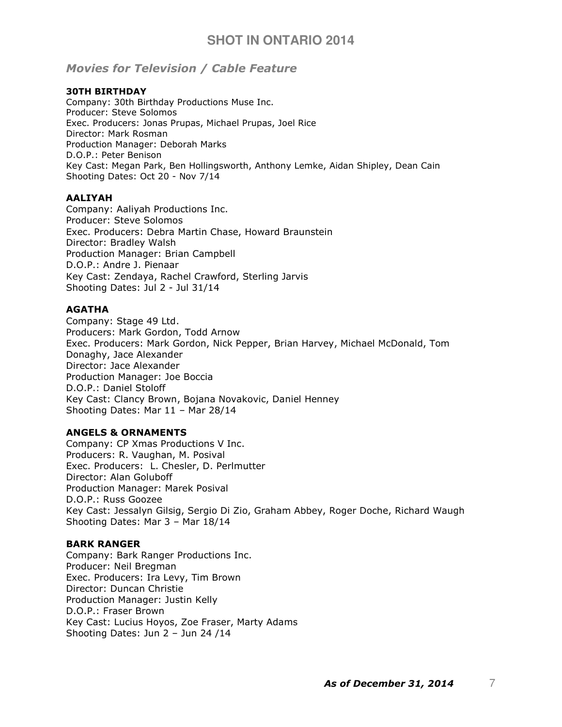# Movies for Television / Cable Feature

#### 30TH BIRTHDAY

Company: 30th Birthday Productions Muse Inc. Producer: Steve Solomos Exec. Producers: Jonas Prupas, Michael Prupas, Joel Rice Director: Mark Rosman Production Manager: Deborah Marks D.O.P.: Peter Benison Key Cast: Megan Park, Ben Hollingsworth, Anthony Lemke, Aidan Shipley, Dean Cain Shooting Dates: Oct 20 - Nov 7/14

#### AALIYAH

Company: Aaliyah Productions Inc. Producer: Steve Solomos Exec. Producers: Debra Martin Chase, Howard Braunstein Director: Bradley Walsh Production Manager: Brian Campbell D.O.P.: Andre J. Pienaar Key Cast: Zendaya, Rachel Crawford, Sterling Jarvis Shooting Dates: Jul 2 - Jul 31/14

#### AGATHA

Company: Stage 49 Ltd. Producers: Mark Gordon, Todd Arnow Exec. Producers: Mark Gordon, Nick Pepper, Brian Harvey, Michael McDonald, Tom Donaghy, Jace Alexander Director: Jace Alexander Production Manager: Joe Boccia D.O.P.: Daniel Stoloff Key Cast: Clancy Brown, Bojana Novakovic, Daniel Henney Shooting Dates: Mar 11 – Mar 28/14

# ANGELS & ORNAMENTS

Company: CP Xmas Productions V Inc. Producers: R. Vaughan, M. Posival Exec. Producers: L. Chesler, D. Perlmutter Director: Alan Goluboff Production Manager: Marek Posival D.O.P.: Russ Goozee Key Cast: Jessalyn Gilsig, Sergio Di Zio, Graham Abbey, Roger Doche, Richard Waugh Shooting Dates: Mar 3 – Mar 18/14

#### BARK RANGER

Company: Bark Ranger Productions Inc. Producer: Neil Bregman Exec. Producers: Ira Levy, Tim Brown Director: Duncan Christie Production Manager: Justin Kelly D.O.P.: Fraser Brown Key Cast: Lucius Hoyos, Zoe Fraser, Marty Adams Shooting Dates: Jun 2 – Jun 24 /14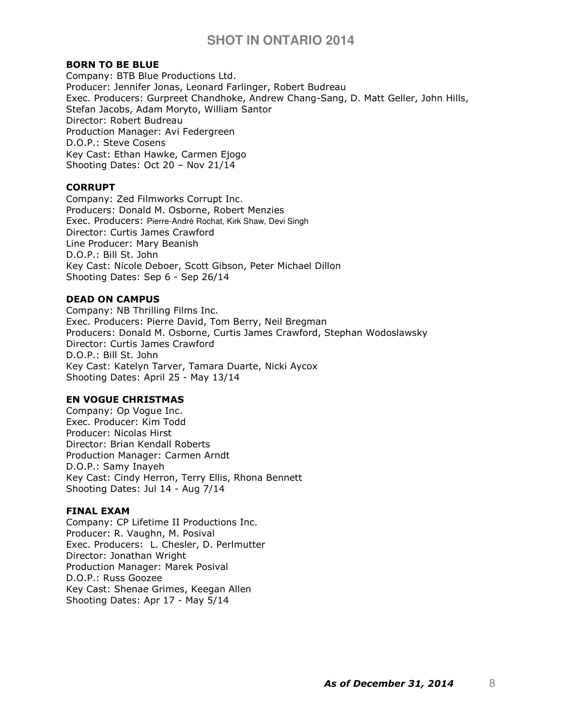#### BORN TO BE BLUE

Company: BTB Blue Productions Ltd. Producer: Jennifer Jonas, Leonard Farlinger, Robert Budreau Exec. Producers: Gurpreet Chandhoke, Andrew Chang-Sang, D. Matt Geller, John Hills, Stefan Jacobs, Adam Moryto, William Santor Director: Robert Budreau Production Manager: Avi Federgreen D.O.P.: Steve Cosens Key Cast: Ethan Hawke, Carmen Ejogo Shooting Dates: Oct 20 – Nov 21/14

#### **CORRUPT**

Company: Zed Filmworks Corrupt Inc. Producers: Donald M. Osborne, Robert Menzies Exec. Producers: Pierre-André Rochat, Kirk Shaw, Devi Singh Director: Curtis James Crawford Line Producer: Mary Beanish D.O.P.: Bill St. John Key Cast: Nicole Deboer, Scott Gibson, Peter Michael Dillon Shooting Dates: Sep 6 - Sep 26/14

#### DEAD ON CAMPUS

Company: NB Thrilling Films Inc. Exec. Producers: Pierre David, Tom Berry, Neil Bregman Producers: Donald M. Osborne, Curtis James Crawford, Stephan Wodoslawsky Director: Curtis James Crawford D.O.P.: Bill St. John Key Cast: Katelyn Tarver, Tamara Duarte, Nicki Aycox Shooting Dates: April 25 - May 13/14

### EN VOGUE CHRISTMAS

Company: Op Vogue Inc. Exec. Producer: Kim Todd Producer: Nicolas Hirst Director: Brian Kendall Roberts Production Manager: Carmen Arndt D.O.P.: Samy Inayeh Key Cast: Cindy Herron, Terry Ellis, Rhona Bennett Shooting Dates: Jul 14 - Aug 7/14

#### FINAL EXAM

Company: CP Lifetime II Productions Inc. Producer: R. Vaughn, M. Posival Exec. Producers: L. Chesler, D. Perlmutter Director: Jonathan Wright Production Manager: Marek Posival D.O.P.: Russ Goozee Key Cast: Shenae Grimes, Keegan Allen Shooting Dates: Apr 17 - May 5/14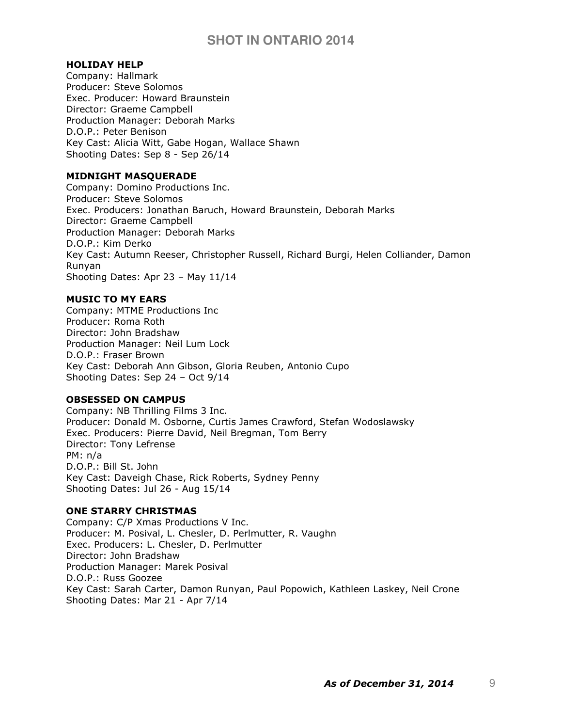### HOLIDAY HELP

Company: Hallmark Producer: Steve Solomos Exec. Producer: Howard Braunstein Director: Graeme Campbell Production Manager: Deborah Marks D.O.P.: Peter Benison Key Cast: Alicia Witt, Gabe Hogan, Wallace Shawn Shooting Dates: Sep 8 - Sep 26/14

## MIDNIGHT MASQUERADE

Company: Domino Productions Inc. Producer: Steve Solomos Exec. Producers: Jonathan Baruch, Howard Braunstein, Deborah Marks Director: Graeme Campbell Production Manager: Deborah Marks D.O.P.: Kim Derko Key Cast: Autumn Reeser, Christopher Russell, Richard Burgi, Helen Colliander, Damon Runyan Shooting Dates: Apr 23 – May 11/14

### MUSIC TO MY EARS

Company: MTME Productions Inc Producer: Roma Roth Director: John Bradshaw Production Manager: Neil Lum Lock D.O.P.: Fraser Brown Key Cast: Deborah Ann Gibson, Gloria Reuben, Antonio Cupo Shooting Dates: Sep 24 – Oct 9/14

#### OBSESSED ON CAMPUS

Company: NB Thrilling Films 3 Inc. Producer: Donald M. Osborne, Curtis James Crawford, Stefan Wodoslawsky Exec. Producers: Pierre David, Neil Bregman, Tom Berry Director: Tony Lefrense PM: n/a D.O.P.: Bill St. John Key Cast: Daveigh Chase, Rick Roberts, Sydney Penny Shooting Dates: Jul 26 - Aug 15/14

## ONE STARRY CHRISTMAS

Company: C/P Xmas Productions V Inc. Producer: M. Posival, L. Chesler, D. Perlmutter, R. Vaughn Exec. Producers: L. Chesler, D. Perlmutter Director: John Bradshaw Production Manager: Marek Posival D.O.P.: Russ Goozee Key Cast: Sarah Carter, Damon Runyan, Paul Popowich, Kathleen Laskey, Neil Crone Shooting Dates: Mar 21 - Apr 7/14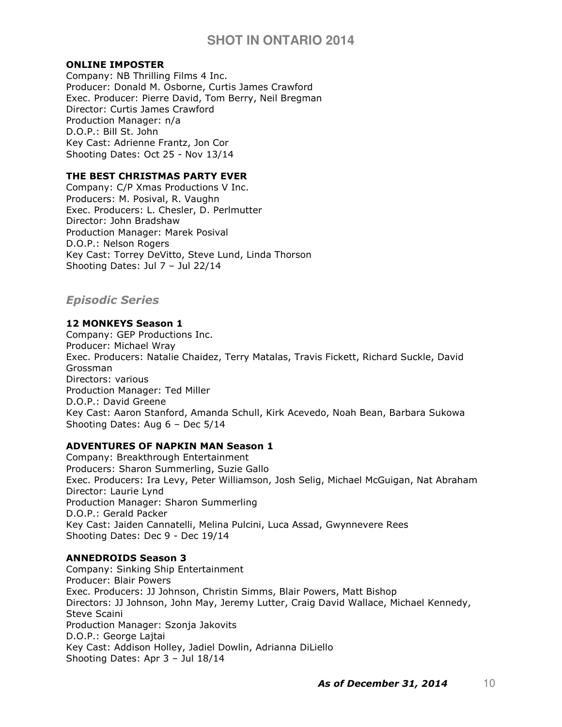# ONLINE IMPOSTER

Company: NB Thrilling Films 4 Inc. Producer: Donald M. Osborne, Curtis James Crawford Exec. Producer: Pierre David, Tom Berry, Neil Bregman Director: Curtis James Crawford Production Manager: n/a D.O.P.: Bill St. John Key Cast: Adrienne Frantz, Jon Cor Shooting Dates: Oct 25 - Nov 13/14

# THE BEST CHRISTMAS PARTY EVER

Company: C/P Xmas Productions V Inc. Producers: M. Posival, R. Vaughn Exec. Producers: L. Chesler, D. Perlmutter Director: John Bradshaw Production Manager: Marek Posival D.O.P.: Nelson Rogers Key Cast: Torrey DeVitto, Steve Lund, Linda Thorson Shooting Dates: Jul 7 – Jul 22/14

# Episodic Series

# 12 MONKEYS Season 1

Company: GEP Productions Inc. Producer: Michael Wray Exec. Producers: Natalie Chaidez, Terry Matalas, Travis Fickett, Richard Suckle, David Grossman Directors: various Production Manager: Ted Miller D.O.P.: David Greene Key Cast: Aaron Stanford, Amanda Schull, Kirk Acevedo, Noah Bean, Barbara Sukowa Shooting Dates: Aug 6 – Dec 5/14

# ADVENTURES OF NAPKIN MAN Season 1

Company: Breakthrough Entertainment Producers: Sharon Summerling, Suzie Gallo Exec. Producers: Ira Levy, Peter Williamson, Josh Selig, Michael McGuigan, Nat Abraham Director: Laurie Lynd Production Manager: Sharon Summerling D.O.P.: Gerald Packer Key Cast: Jaiden Cannatelli, Melina Pulcini, Luca Assad, Gwynnevere Rees Shooting Dates: Dec 9 - Dec 19/14

# ANNEDROIDS Season 3

Company: Sinking Ship Entertainment Producer: Blair Powers Exec. Producers: JJ Johnson, Christin Simms, Blair Powers, Matt Bishop Directors: JJ Johnson, John May, Jeremy Lutter, Craig David Wallace, Michael Kennedy, Steve Scaini Production Manager: Szonja Jakovits D.O.P.: George Lajtai Key Cast: Addison Holley, Jadiel Dowlin, Adrianna DiLiello Shooting Dates: Apr 3 – Jul 18/14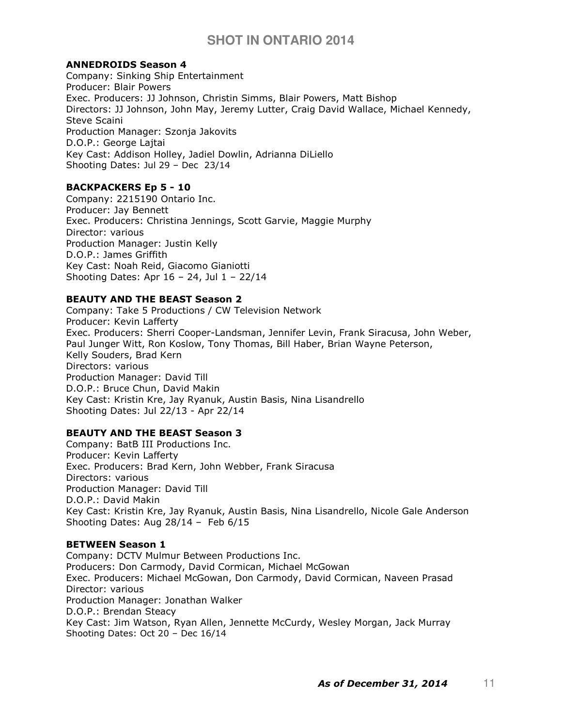## ANNEDROIDS Season 4

Company: Sinking Ship Entertainment Producer: Blair Powers Exec. Producers: JJ Johnson, Christin Simms, Blair Powers, Matt Bishop Directors: JJ Johnson, John May, Jeremy Lutter, Craig David Wallace, Michael Kennedy, Steve Scaini Production Manager: Szonja Jakovits D.O.P.: George Lajtai Key Cast: Addison Holley, Jadiel Dowlin, Adrianna DiLiello Shooting Dates: Jul 29 – Dec 23/14

# BACKPACKERS Ep 5 - 10

Company: 2215190 Ontario Inc. Producer: Jay Bennett Exec. Producers: Christina Jennings, Scott Garvie, Maggie Murphy Director: various Production Manager: Justin Kelly D.O.P.: James Griffith Key Cast: Noah Reid, Giacomo Gianiotti Shooting Dates: Apr  $16 - 24$ , Jul  $1 - 22/14$ 

# BEAUTY AND THE BEAST Season 2

Company: Take 5 Productions / CW Television Network Producer: Kevin Lafferty Exec. Producers: Sherri Cooper-Landsman, Jennifer Levin, Frank Siracusa, John Weber, Paul Junger Witt, Ron Koslow, Tony Thomas, Bill Haber, Brian Wayne Peterson, Kelly Souders, Brad Kern Directors: various Production Manager: David Till D.O.P.: Bruce Chun, David Makin Key Cast: Kristin Kre, Jay Ryanuk, Austin Basis, Nina Lisandrello Shooting Dates: Jul 22/13 - Apr 22/14

### BEAUTY AND THE BEAST Season 3

Company: BatB III Productions Inc. Producer: Kevin Lafferty Exec. Producers: Brad Kern, John Webber, Frank Siracusa Directors: various Production Manager: David Till D.O.P.: David Makin Key Cast: Kristin Kre, Jay Ryanuk, Austin Basis, Nina Lisandrello, Nicole Gale Anderson Shooting Dates: Aug 28/14 – Feb 6/15

# BETWEEN Season 1

Company: DCTV Mulmur Between Productions Inc. Producers: Don Carmody, David Cormican, Michael McGowan Exec. Producers: Michael McGowan, Don Carmody, David Cormican, Naveen Prasad Director: various Production Manager: Jonathan Walker D.O.P.: Brendan Steacy Key Cast: Jim Watson, Ryan Allen, Jennette McCurdy, Wesley Morgan, Jack Murray Shooting Dates: Oct 20 – Dec 16/14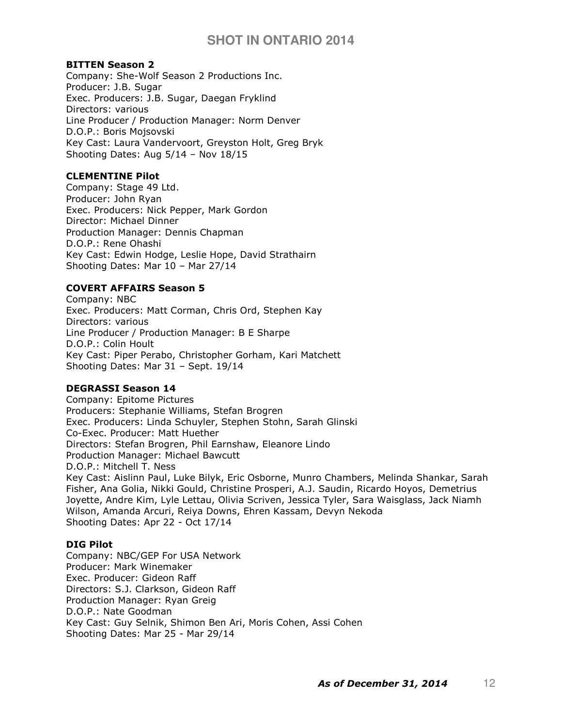### BITTEN Season 2

Company: She-Wolf Season 2 Productions Inc. Producer: J.B. Sugar Exec. Producers: J.B. Sugar, Daegan Fryklind Directors: various Line Producer / Production Manager: Norm Denver D.O.P.: Boris Mojsovski Key Cast: Laura Vandervoort, Greyston Holt, Greg Bryk Shooting Dates: Aug 5/14 – Nov 18/15

# CLEMENTINE Pilot

Company: Stage 49 Ltd. Producer: John Ryan Exec. Producers: Nick Pepper, Mark Gordon Director: Michael Dinner Production Manager: Dennis Chapman D.O.P.: Rene Ohashi Key Cast: Edwin Hodge, Leslie Hope, David Strathairn Shooting Dates: Mar 10 – Mar 27/14

# COVERT AFFAIRS Season 5

Company: NBC Exec. Producers: Matt Corman, Chris Ord, Stephen Kay Directors: various Line Producer / Production Manager: B E Sharpe D.O.P.: Colin Hoult Key Cast: Piper Perabo, Christopher Gorham, Kari Matchett Shooting Dates: Mar 31 – Sept. 19/14

# DEGRASSI Season 14

Company: Epitome Pictures Producers: Stephanie Williams, Stefan Brogren Exec. Producers: Linda Schuyler, Stephen Stohn, Sarah Glinski Co-Exec. Producer: Matt Huether Directors: Stefan Brogren, Phil Earnshaw, Eleanore Lindo Production Manager: Michael Bawcutt D.O.P.: Mitchell T. Ness Key Cast: Aislinn Paul, Luke Bilyk, Eric Osborne, Munro Chambers, Melinda Shankar, Sarah Fisher, Ana Golia, Nikki Gould, Christine Prosperi, A.J. Saudin, Ricardo Hoyos, Demetrius Joyette, Andre Kim, Lyle Lettau, Olivia Scriven, Jessica Tyler, Sara Waisglass, Jack Niamh Wilson, Amanda Arcuri, Reiya Downs, Ehren Kassam, Devyn Nekoda Shooting Dates: Apr 22 - Oct 17/14

## DIG Pilot

Company: NBC/GEP For USA Network Producer: Mark Winemaker Exec. Producer: Gideon Raff Directors: S.J. Clarkson, Gideon Raff Production Manager: Ryan Greig D.O.P.: Nate Goodman Key Cast: Guy Selnik, Shimon Ben Ari, Moris Cohen, Assi Cohen Shooting Dates: Mar 25 - Mar 29/14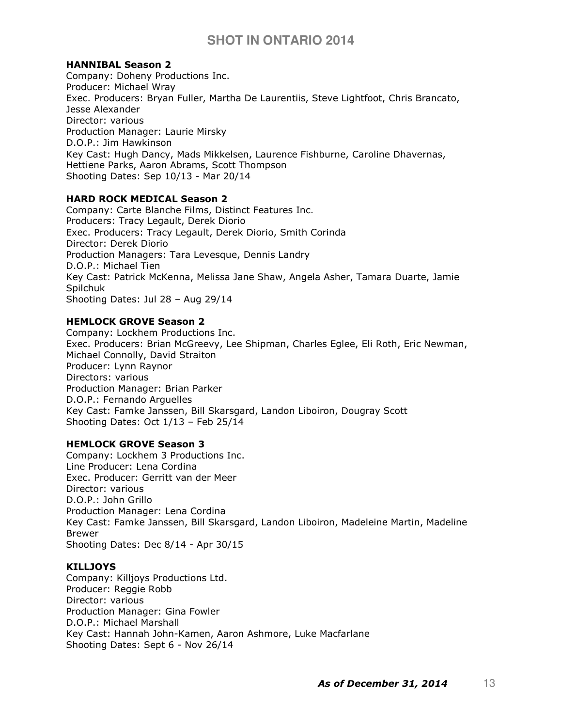# HANNIBAL Season 2

Company: Doheny Productions Inc. Producer: Michael Wray Exec. Producers: Bryan Fuller, Martha De Laurentiis, Steve Lightfoot, Chris Brancato, Jesse Alexander Director: various Production Manager: Laurie Mirsky D.O.P.: Jim Hawkinson Key Cast: Hugh Dancy, Mads Mikkelsen, Laurence Fishburne, Caroline Dhavernas, Hettiene Parks, Aaron Abrams, Scott Thompson Shooting Dates: Sep 10/13 - Mar 20/14

# HARD ROCK MEDICAL Season 2

Company: Carte Blanche Films, Distinct Features Inc. Producers: Tracy Legault, Derek Diorio Exec. Producers: Tracy Legault, Derek Diorio, Smith Corinda Director: Derek Diorio Production Managers: Tara Levesque, Dennis Landry D.O.P.: Michael Tien Key Cast: Patrick McKenna, Melissa Jane Shaw, Angela Asher, Tamara Duarte, Jamie Spilchuk Shooting Dates: Jul 28 – Aug 29/14

### HEMLOCK GROVE Season 2

Company: Lockhem Productions Inc. Exec. Producers: Brian McGreevy, Lee Shipman, Charles Eglee, Eli Roth, Eric Newman, Michael Connolly, David Straiton Producer: Lynn Raynor Directors: various Production Manager: Brian Parker D.O.P.: Fernando Arguelles Key Cast: Famke Janssen, Bill Skarsgard, Landon Liboiron, Dougray Scott Shooting Dates: Oct 1/13 – Feb 25/14

### HEMLOCK GROVE Season 3

Company: Lockhem 3 Productions Inc. Line Producer: Lena Cordina Exec. Producer: Gerritt van der Meer Director: various D.O.P.: John Grillo Production Manager: Lena Cordina Key Cast: Famke Janssen, Bill Skarsgard, Landon Liboiron, Madeleine Martin, Madeline Brewer Shooting Dates: Dec 8/14 - Apr 30/15

### KILLJOYS

Company: Killjoys Productions Ltd. Producer: Reggie Robb Director: various Production Manager: Gina Fowler D.O.P.: Michael Marshall Key Cast: Hannah John-Kamen, Aaron Ashmore, Luke Macfarlane Shooting Dates: Sept 6 - Nov 26/14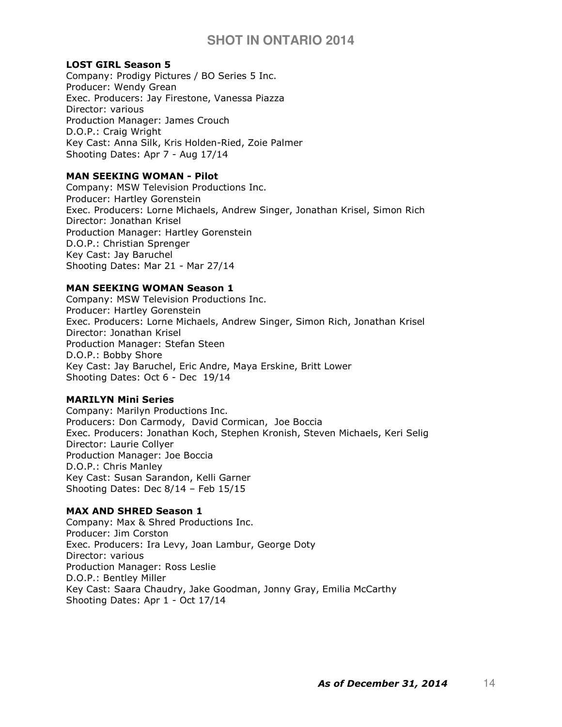### LOST GIRL Season 5

Company: Prodigy Pictures / BO Series 5 Inc. Producer: Wendy Grean Exec. Producers: Jay Firestone, Vanessa Piazza Director: various Production Manager: James Crouch D.O.P.: Craig Wright Key Cast: Anna Silk, Kris Holden-Ried, Zoie Palmer Shooting Dates: Apr 7 - Aug 17/14

### MAN SEEKING WOMAN - Pilot

Company: MSW Television Productions Inc. Producer: Hartley Gorenstein Exec. Producers: Lorne Michaels, Andrew Singer, Jonathan Krisel, Simon Rich Director: Jonathan Krisel Production Manager: Hartley Gorenstein D.O.P.: Christian Sprenger Key Cast: Jay Baruchel Shooting Dates: Mar 21 - Mar 27/14

#### MAN SEEKING WOMAN Season 1

Company: MSW Television Productions Inc. Producer: Hartley Gorenstein Exec. Producers: Lorne Michaels, Andrew Singer, Simon Rich, Jonathan Krisel Director: Jonathan Krisel Production Manager: Stefan Steen D.O.P.: Bobby Shore Key Cast: Jay Baruchel, Eric Andre, Maya Erskine, Britt Lower Shooting Dates: Oct 6 - Dec 19/14

### MARILYN Mini Series

Company: Marilyn Productions Inc. Producers: Don Carmody, David Cormican, Joe Boccia Exec. Producers: Jonathan Koch, Stephen Kronish, Steven Michaels, Keri Selig Director: Laurie Collyer Production Manager: Joe Boccia D.O.P.: Chris Manley Key Cast: Susan Sarandon, Kelli Garner Shooting Dates: Dec 8/14 – Feb 15/15

#### MAX AND SHRED Season 1

Company: Max & Shred Productions Inc. Producer: Jim Corston Exec. Producers: Ira Levy, Joan Lambur, George Doty Director: various Production Manager: Ross Leslie D.O.P.: Bentley Miller Key Cast: Saara Chaudry, Jake Goodman, Jonny Gray, Emilia McCarthy Shooting Dates: Apr 1 - Oct 17/14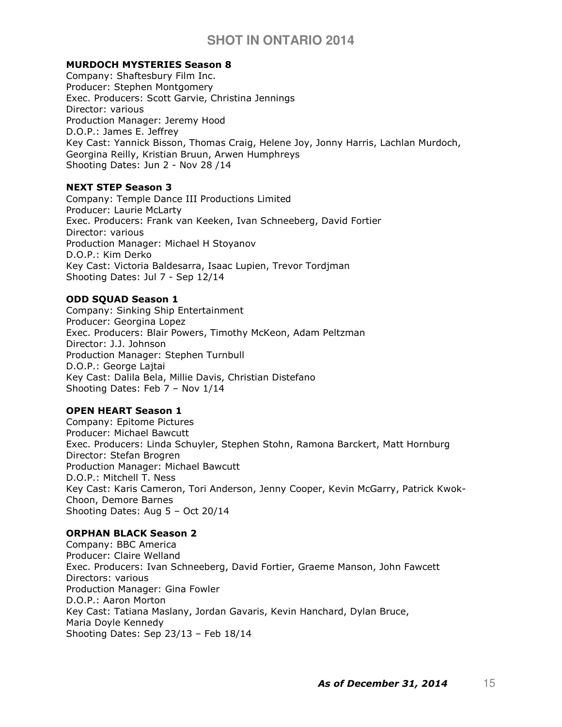# MURDOCH MYSTERIES Season 8

Company: Shaftesbury Film Inc. Producer: Stephen Montgomery Exec. Producers: Scott Garvie, Christina Jennings Director: various Production Manager: Jeremy Hood D.O.P.: James E. Jeffrey Key Cast: Yannick Bisson, Thomas Craig, Helene Joy, Jonny Harris, Lachlan Murdoch, Georgina Reilly, Kristian Bruun, Arwen Humphreys Shooting Dates: Jun 2 - Nov 28 /14

## NEXT STEP Season 3

Company: Temple Dance III Productions Limited Producer: Laurie McLarty Exec. Producers: Frank van Keeken, Ivan Schneeberg, David Fortier Director: various Production Manager: Michael H Stoyanov D.O.P.: Kim Derko Key Cast: Victoria Baldesarra, Isaac Lupien, Trevor Tordjman Shooting Dates: Jul 7 - Sep 12/14

### ODD SQUAD Season 1

Company: Sinking Ship Entertainment Producer: Georgina Lopez Exec. Producers: Blair Powers, Timothy McKeon, Adam Peltzman Director: J.J. Johnson Production Manager: Stephen Turnbull D.O.P.: George Lajtai Key Cast: Dalila Bela, Millie Davis, Christian Distefano Shooting Dates: Feb 7 – Nov 1/14

# OPEN HEART Season 1

Company: Epitome Pictures Producer: Michael Bawcutt Exec. Producers: Linda Schuyler, Stephen Stohn, Ramona Barckert, Matt Hornburg Director: Stefan Brogren Production Manager: Michael Bawcutt D.O.P.: Mitchell T. Ness Key Cast: Karis Cameron, Tori Anderson, Jenny Cooper, Kevin McGarry, Patrick Kwok-Choon, Demore Barnes Shooting Dates: Aug 5 – Oct 20/14

# ORPHAN BLACK Season 2

Company: BBC America Producer: Claire Welland Exec. Producers: Ivan Schneeberg, David Fortier, Graeme Manson, John Fawcett Directors: various Production Manager: Gina Fowler D.O.P.: Aaron Morton Key Cast: Tatiana Maslany, Jordan Gavaris, Kevin Hanchard, Dylan Bruce, Maria Doyle Kennedy Shooting Dates: Sep 23/13 – Feb 18/14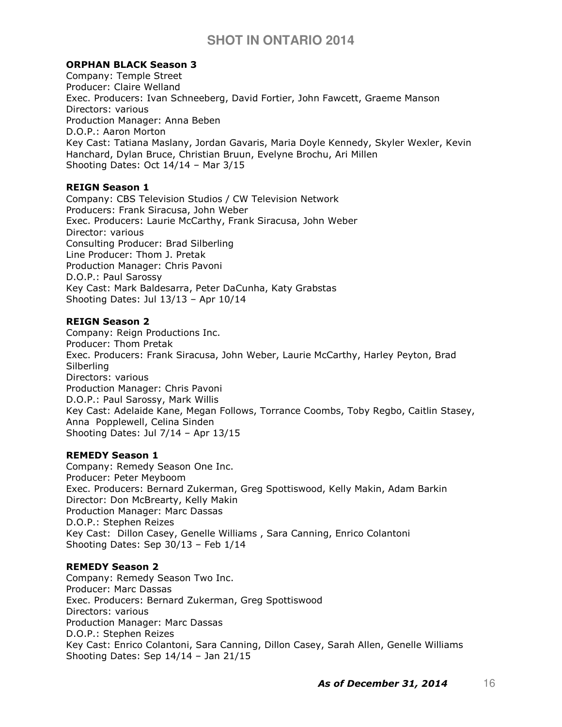## ORPHAN BLACK Season 3

Company: Temple Street Producer: Claire Welland Exec. Producers: Ivan Schneeberg, David Fortier, John Fawcett, Graeme Manson Directors: various Production Manager: Anna Beben D.O.P.: Aaron Morton Key Cast: Tatiana Maslany, Jordan Gavaris, Maria Doyle Kennedy, Skyler Wexler, Kevin Hanchard, Dylan Bruce, Christian Bruun, Evelyne Brochu, Ari Millen Shooting Dates: Oct 14/14 – Mar 3/15

# REIGN Season 1

Company: CBS Television Studios / CW Television Network Producers: Frank Siracusa, John Weber Exec. Producers: Laurie McCarthy, Frank Siracusa, John Weber Director: various Consulting Producer: Brad Silberling Line Producer: Thom J. Pretak Production Manager: Chris Pavoni D.O.P.: Paul Sarossy Key Cast: Mark Baldesarra, Peter DaCunha, Katy Grabstas Shooting Dates: Jul 13/13 – Apr 10/14

### REIGN Season 2

Company: Reign Productions Inc. Producer: Thom Pretak Exec. Producers: Frank Siracusa, John Weber, Laurie McCarthy, Harley Peyton, Brad **Silberling** Directors: various Production Manager: Chris Pavoni D.O.P.: Paul Sarossy, Mark Willis Key Cast: Adelaide Kane, Megan Follows, Torrance Coombs, Toby Regbo, Caitlin Stasey, Anna Popplewell, Celina Sinden Shooting Dates: Jul 7/14 – Apr 13/15

### REMEDY Season 1

Company: Remedy Season One Inc. Producer: Peter Meyboom Exec. Producers: Bernard Zukerman, Greg Spottiswood, Kelly Makin, Adam Barkin Director: Don McBrearty, Kelly Makin Production Manager: Marc Dassas D.O.P.: Stephen Reizes Key Cast: Dillon Casey, Genelle Williams , Sara Canning, Enrico Colantoni Shooting Dates: Sep 30/13 – Feb 1/14

### REMEDY Season 2

Company: Remedy Season Two Inc. Producer: Marc Dassas Exec. Producers: Bernard Zukerman, Greg Spottiswood Directors: various Production Manager: Marc Dassas D.O.P.: Stephen Reizes Key Cast: Enrico Colantoni, Sara Canning, Dillon Casey, Sarah Allen, Genelle Williams Shooting Dates: Sep 14/14 – Jan 21/15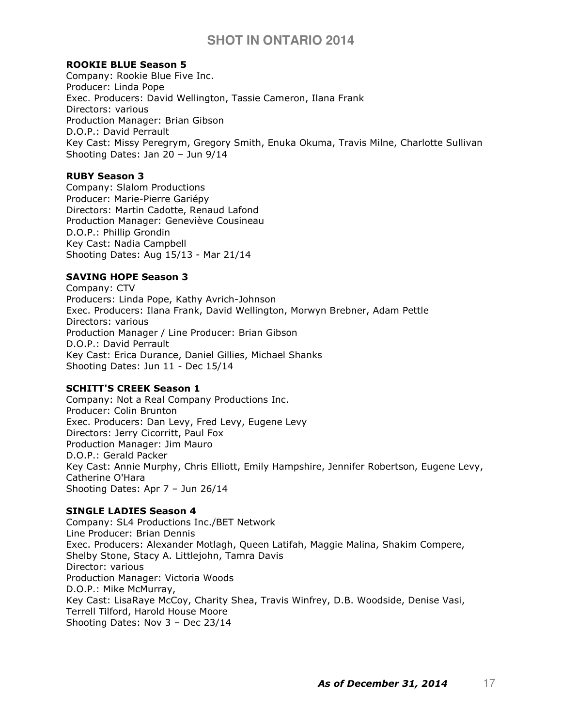## ROOKIE BLUE Season 5

Company: Rookie Blue Five Inc. Producer: Linda Pope Exec. Producers: David Wellington, Tassie Cameron, Ilana Frank Directors: various Production Manager: Brian Gibson D.O.P.: David Perrault Key Cast: Missy Peregrym, Gregory Smith, Enuka Okuma, Travis Milne, Charlotte Sullivan Shooting Dates: Jan 20 – Jun 9/14

## RUBY Season 3

Company: Slalom Productions Producer: Marie-Pierre Gariépy Directors: Martin Cadotte, Renaud Lafond Production Manager: Geneviève Cousineau D.O.P.: Phillip Grondin Key Cast: Nadia Campbell Shooting Dates: Aug 15/13 - Mar 21/14

# SAVING HOPE Season 3

Company: CTV Producers: Linda Pope, Kathy Avrich-Johnson Exec. Producers: Ilana Frank, David Wellington, Morwyn Brebner, Adam Pettle Directors: various Production Manager / Line Producer: Brian Gibson D.O.P.: David Perrault Key Cast: Erica Durance, Daniel Gillies, Michael Shanks Shooting Dates: Jun 11 - Dec 15/14

# SCHITT'S CREEK Season 1

Company: Not a Real Company Productions Inc. Producer: Colin Brunton Exec. Producers: Dan Levy, Fred Levy, Eugene Levy Directors: Jerry Cicorritt, Paul Fox Production Manager: Jim Mauro D.O.P.: Gerald Packer Key Cast: Annie Murphy, Chris Elliott, Emily Hampshire, Jennifer Robertson, Eugene Levy, Catherine O'Hara Shooting Dates: Apr 7 – Jun 26/14

### SINGLE LADIES Season 4

Company: SL4 Productions Inc./BET Network Line Producer: Brian Dennis Exec. Producers: Alexander Motlagh, Queen Latifah, Maggie Malina, Shakim Compere, Shelby Stone, Stacy A. Littlejohn, Tamra Davis Director: various Production Manager: Victoria Woods D.O.P.: Mike McMurray, Key Cast: LisaRaye McCoy, Charity Shea, Travis Winfrey, D.B. Woodside, Denise Vasi, Terrell Tilford, Harold House Moore Shooting Dates: Nov 3 – Dec 23/14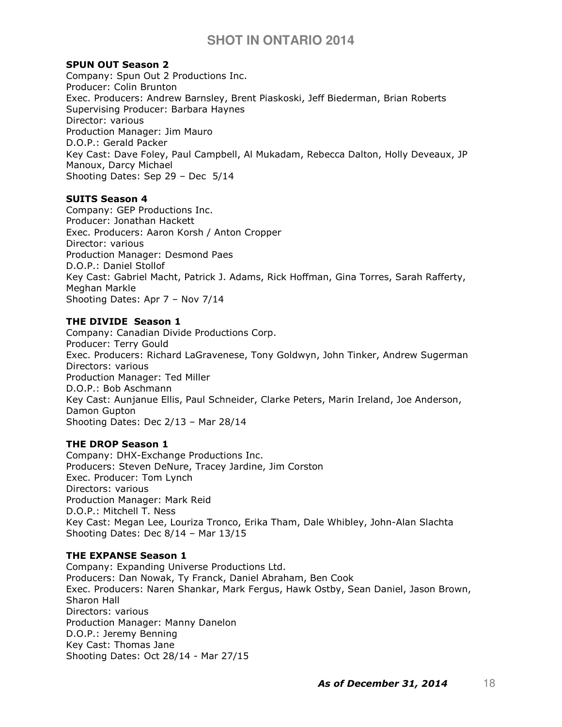## SPUN OUT Season 2

Company: Spun Out 2 Productions Inc. Producer: Colin Brunton Exec. Producers: Andrew Barnsley, Brent Piaskoski, Jeff Biederman, Brian Roberts Supervising Producer: Barbara Haynes Director: various Production Manager: Jim Mauro D.O.P.: Gerald Packer Key Cast: Dave Foley, Paul Campbell, Al Mukadam, Rebecca Dalton, Holly Deveaux, JP Manoux, Darcy Michael Shooting Dates: Sep 29 – Dec 5/14

# SUITS Season 4

Company: GEP Productions Inc. Producer: Jonathan Hackett Exec. Producers: Aaron Korsh / Anton Cropper Director: various Production Manager: Desmond Paes D.O.P.: Daniel Stollof Key Cast: Gabriel Macht, Patrick J. Adams, Rick Hoffman, Gina Torres, Sarah Rafferty, Meghan Markle Shooting Dates: Apr 7 – Nov 7/14

# THE DIVIDE Season 1

Company: Canadian Divide Productions Corp. Producer: Terry Gould Exec. Producers: Richard LaGravenese, Tony Goldwyn, John Tinker, Andrew Sugerman Directors: various Production Manager: Ted Miller D.O.P.: Bob Aschmann Key Cast: Aunjanue Ellis, Paul Schneider, Clarke Peters, Marin Ireland, Joe Anderson, Damon Gupton Shooting Dates: Dec 2/13 – Mar 28/14

# THE DROP Season 1

Company: DHX-Exchange Productions Inc. Producers: Steven DeNure, Tracey Jardine, Jim Corston Exec. Producer: Tom Lynch Directors: various Production Manager: Mark Reid D.O.P.: Mitchell T. Ness Key Cast: Megan Lee, Louriza Tronco, Erika Tham, Dale Whibley, John-Alan Slachta Shooting Dates: Dec 8/14 – Mar 13/15

# THE EXPANSE Season 1

Company: Expanding Universe Productions Ltd. Producers: Dan Nowak, Ty Franck, Daniel Abraham, Ben Cook Exec. Producers: Naren Shankar, Mark Fergus, Hawk Ostby, Sean Daniel, Jason Brown, Sharon Hall Directors: various Production Manager: Manny Danelon D.O.P.: Jeremy Benning Key Cast: Thomas Jane Shooting Dates: Oct 28/14 - Mar 27/15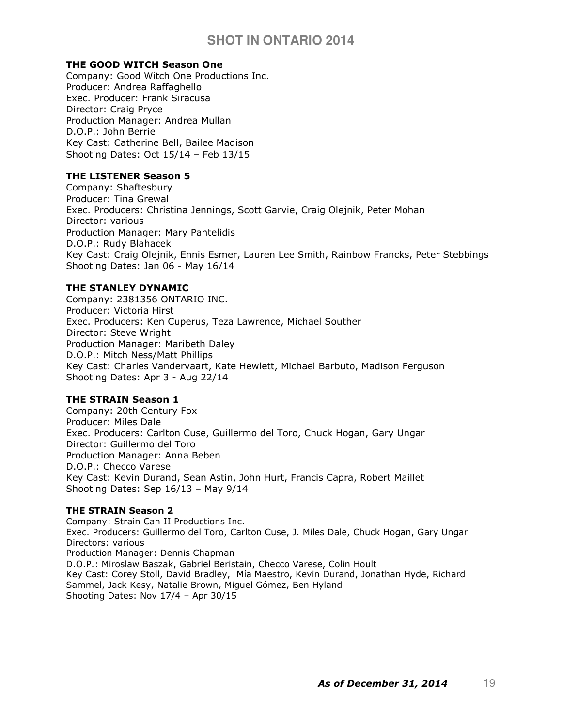# THE GOOD WITCH Season One

Company: Good Witch One Productions Inc. Producer: Andrea Raffaghello Exec. Producer: Frank Siracusa Director: Craig Pryce Production Manager: Andrea Mullan D.O.P.: John Berrie Key Cast: Catherine Bell, Bailee Madison Shooting Dates: Oct 15/14 – Feb 13/15

# THE LISTENER Season 5

Company: Shaftesbury Producer: Tina Grewal Exec. Producers: Christina Jennings, Scott Garvie, Craig Olejnik, Peter Mohan Director: various Production Manager: Mary Pantelidis D.O.P.: Rudy Blahacek Key Cast: Craig Olejnik, Ennis Esmer, Lauren Lee Smith, Rainbow Francks, Peter Stebbings Shooting Dates: Jan 06 - May 16/14

### THE STANLEY DYNAMIC

Company: 2381356 ONTARIO INC. Producer: Victoria Hirst Exec. Producers: Ken Cuperus, Teza Lawrence, Michael Souther Director: Steve Wright Production Manager: Maribeth Daley D.O.P.: Mitch Ness/Matt Phillips Key Cast: Charles Vandervaart, Kate Hewlett, Michael Barbuto, Madison Ferguson Shooting Dates: Apr 3 - Aug 22/14

### THE STRAIN Season 1

Company: 20th Century Fox Producer: Miles Dale Exec. Producers: Carlton Cuse, Guillermo del Toro, Chuck Hogan, Gary Ungar Director: Guillermo del Toro Production Manager: Anna Beben D.O.P.: Checco Varese Key Cast: Kevin Durand, Sean Astin, John Hurt, Francis Capra, Robert Maillet Shooting Dates: Sep 16/13 – May 9/14

### THE STRAIN Season 2

Company: Strain Can II Productions Inc. Exec. Producers: Guillermo del Toro, Carlton Cuse, J. Miles Dale, Chuck Hogan, Gary Ungar Directors: various Production Manager: Dennis Chapman D.O.P.: Miroslaw Baszak, Gabriel Beristain, Checco Varese, Colin Hoult Key Cast: Corey Stoll, David Bradley, Mía Maestro, Kevin Durand, Jonathan Hyde, Richard Sammel, Jack Kesy, Natalie Brown, Miguel Gómez, Ben Hyland Shooting Dates: Nov 17/4 – Apr 30/15